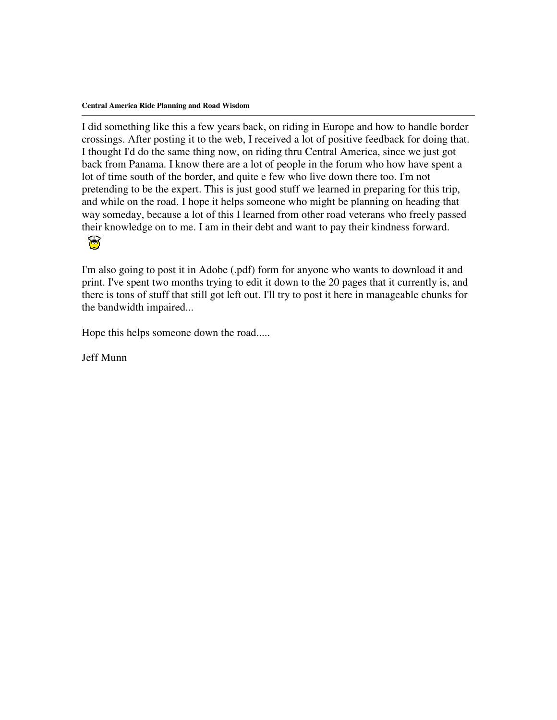**Central America Ride Planning and Road Wisdom**

I did something like this a few years back, on riding in Europe and how to handle border crossings. After posting it to the web, I received a lot of positive feedback for doing that. I thought I'd do the same thing now, on riding thru Central America, since we just got back from Panama. I know there are a lot of people in the forum who how have spent a lot of time south of the border, and quite e few who live down there too. I'm not pretending to be the expert. This is just good stuff we learned in preparing for this trip, and while on the road. I hope it helps someone who might be planning on heading that way someday, because a lot of this I learned from other road veterans who freely passed their knowledge on to me. I am in their debt and want to pay their kindness forward.  $\bullet$ 

I'm also going to post it in Adobe (.pdf) form for anyone who wants to download it and print. I've spent two months trying to edit it down to the 20 pages that it currently is, and there is tons of stuff that still got left out. I'll try to post it here in manageable chunks for the bandwidth impaired...

Hope this helps someone down the road.....

Jeff Munn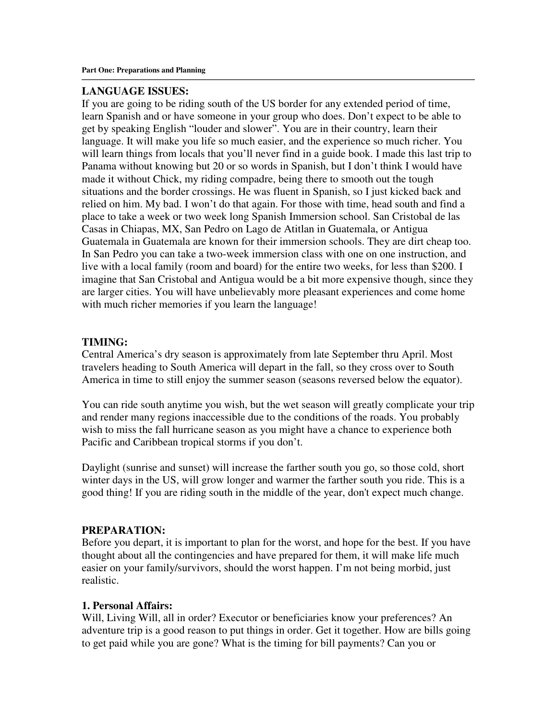## **LANGUAGE ISSUES:**

If you are going to be riding south of the US border for any extended period of time, learn Spanish and or have someone in your group who does. Don't expect to be able to get by speaking English "louder and slower". You are in their country, learn their language. It will make you life so much easier, and the experience so much richer. You will learn things from locals that you'll never find in a guide book. I made this last trip to Panama without knowing but 20 or so words in Spanish, but I don't think I would have made it without Chick, my riding compadre, being there to smooth out the tough situations and the border crossings. He was fluent in Spanish, so I just kicked back and relied on him. My bad. I won't do that again. For those with time, head south and find a place to take a week or two week long Spanish Immersion school. San Cristobal de las Casas in Chiapas, MX, San Pedro on Lago de Atitlan in Guatemala, or Antigua Guatemala in Guatemala are known for their immersion schools. They are dirt cheap too. In San Pedro you can take a two-week immersion class with one on one instruction, and live with a local family (room and board) for the entire two weeks, for less than \$200. I imagine that San Cristobal and Antigua would be a bit more expensive though, since they are larger cities. You will have unbelievably more pleasant experiences and come home with much richer memories if you learn the language!

### **TIMING:**

Central America's dry season is approximately from late September thru April. Most travelers heading to South America will depart in the fall, so they cross over to South America in time to still enjoy the summer season (seasons reversed below the equator).

You can ride south anytime you wish, but the wet season will greatly complicate your trip and render many regions inaccessible due to the conditions of the roads. You probably wish to miss the fall hurricane season as you might have a chance to experience both Pacific and Caribbean tropical storms if you don't.

Daylight (sunrise and sunset) will increase the farther south you go, so those cold, short winter days in the US, will grow longer and warmer the farther south you ride. This is a good thing! If you are riding south in the middle of the year, don't expect much change.

#### **PREPARATION:**

Before you depart, it is important to plan for the worst, and hope for the best. If you have thought about all the contingencies and have prepared for them, it will make life much easier on your family/survivors, should the worst happen. I'm not being morbid, just realistic.

#### **1. Personal Affairs:**

Will, Living Will, all in order? Executor or beneficiaries know your preferences? An adventure trip is a good reason to put things in order. Get it together. How are bills going to get paid while you are gone? What is the timing for bill payments? Can you or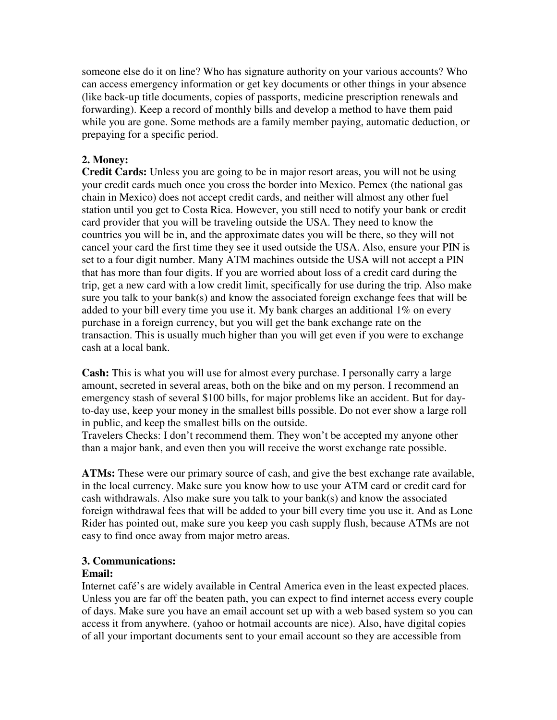someone else do it on line? Who has signature authority on your various accounts? Who can access emergency information or get key documents or other things in your absence (like back-up title documents, copies of passports, medicine prescription renewals and forwarding). Keep a record of monthly bills and develop a method to have them paid while you are gone. Some methods are a family member paying, automatic deduction, or prepaying for a specific period.

## **2. Money:**

**Credit Cards:** Unless you are going to be in major resort areas, you will not be using your credit cards much once you cross the border into Mexico. Pemex (the national gas chain in Mexico) does not accept credit cards, and neither will almost any other fuel station until you get to Costa Rica. However, you still need to notify your bank or credit card provider that you will be traveling outside the USA. They need to know the countries you will be in, and the approximate dates you will be there, so they will not cancel your card the first time they see it used outside the USA. Also, ensure your PIN is set to a four digit number. Many ATM machines outside the USA will not accept a PIN that has more than four digits. If you are worried about loss of a credit card during the trip, get a new card with a low credit limit, specifically for use during the trip. Also make sure you talk to your bank(s) and know the associated foreign exchange fees that will be added to your bill every time you use it. My bank charges an additional 1% on every purchase in a foreign currency, but you will get the bank exchange rate on the transaction. This is usually much higher than you will get even if you were to exchange cash at a local bank.

**Cash:** This is what you will use for almost every purchase. I personally carry a large amount, secreted in several areas, both on the bike and on my person. I recommend an emergency stash of several \$100 bills, for major problems like an accident. But for dayto-day use, keep your money in the smallest bills possible. Do not ever show a large roll in public, and keep the smallest bills on the outside.

Travelers Checks: I don't recommend them. They won't be accepted my anyone other than a major bank, and even then you will receive the worst exchange rate possible.

**ATMs:** These were our primary source of cash, and give the best exchange rate available, in the local currency. Make sure you know how to use your ATM card or credit card for cash withdrawals. Also make sure you talk to your bank(s) and know the associated foreign withdrawal fees that will be added to your bill every time you use it. And as Lone Rider has pointed out, make sure you keep you cash supply flush, because ATMs are not easy to find once away from major metro areas.

## **3. Communications:**

## **Email:**

Internet café's are widely available in Central America even in the least expected places. Unless you are far off the beaten path, you can expect to find internet access every couple of days. Make sure you have an email account set up with a web based system so you can access it from anywhere. (yahoo or hotmail accounts are nice). Also, have digital copies of all your important documents sent to your email account so they are accessible from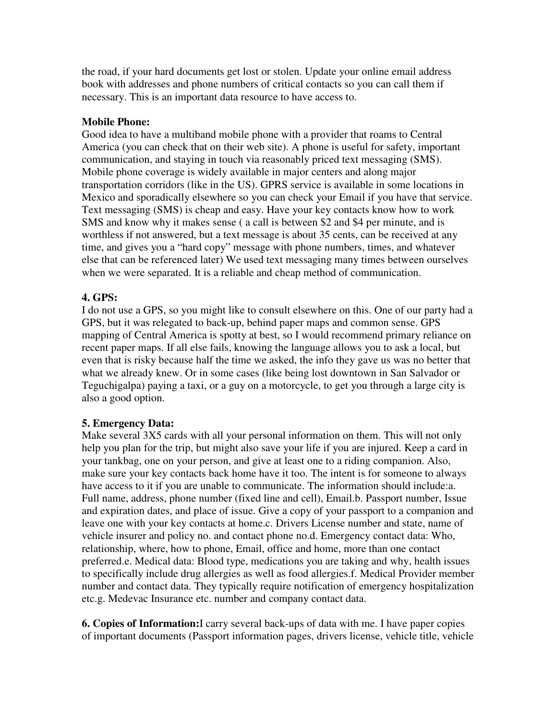the road, if your hard documents get lost or stolen. Update your online email address book with addresses and phone numbers of critical contacts so you can call them if necessary. This is an important data resource to have access to.

### **Mobile Phone:**

Good idea to have a multiband mobile phone with a provider that roams to Central America (you can check that on their web site). A phone is useful for safety, important communication, and staying in touch via reasonably priced text messaging (SMS). Mobile phone coverage is widely available in major centers and along major transportation corridors (like in the US). GPRS service is available in some locations in Mexico and sporadically elsewhere so you can check your Email if you have that service. Text messaging (SMS) is cheap and easy. Have your key contacts know how to work SMS and know why it makes sense ( a call is between \$2 and \$4 per minute, and is worthless if not answered, but a text message is about 35 cents, can be received at any time, and gives you a "hard copy" message with phone numbers, times, and whatever else that can be referenced later) We used text messaging many times between ourselves when we were separated. It is a reliable and cheap method of communication.

## **4. GPS:**

I do not use a GPS, so you might like to consult elsewhere on this. One of our party had a GPS, but it was relegated to back-up, behind paper maps and common sense. GPS mapping of Central America is spotty at best, so I would recommend primary reliance on recent paper maps. If all else fails, knowing the language allows you to ask a local, but even that is risky because half the time we asked, the info they gave us was no better that what we already knew. Or in some cases (like being lost downtown in San Salvador or Teguchigalpa) paying a taxi, or a guy on a motorcycle, to get you through a large city is also a good option.

## **5. Emergency Data:**

Make several 3X5 cards with all your personal information on them. This will not only help you plan for the trip, but might also save your life if you are injured. Keep a card in your tankbag, one on your person, and give at least one to a riding companion. Also, make sure your key contacts back home have it too. The intent is for someone to always have access to it if you are unable to communicate. The information should include:a. Full name, address, phone number (fixed line and cell), Email.b. Passport number, Issue and expiration dates, and place of issue. Give a copy of your passport to a companion and leave one with your key contacts at home.c. Drivers License number and state, name of vehicle insurer and policy no. and contact phone no.d. Emergency contact data: Who, relationship, where, how to phone, Email, office and home, more than one contact preferred.e. Medical data: Blood type, medications you are taking and why, health issues to specifically include drug allergies as well as food allergies.f. Medical Provider member number and contact data. They typically require notification of emergency hospitalization etc.g. Medevac Insurance etc. number and company contact data.

**6. Copies of Information:**I carry several back-ups of data with me. I have paper copies of important documents (Passport information pages, drivers license, vehicle title, vehicle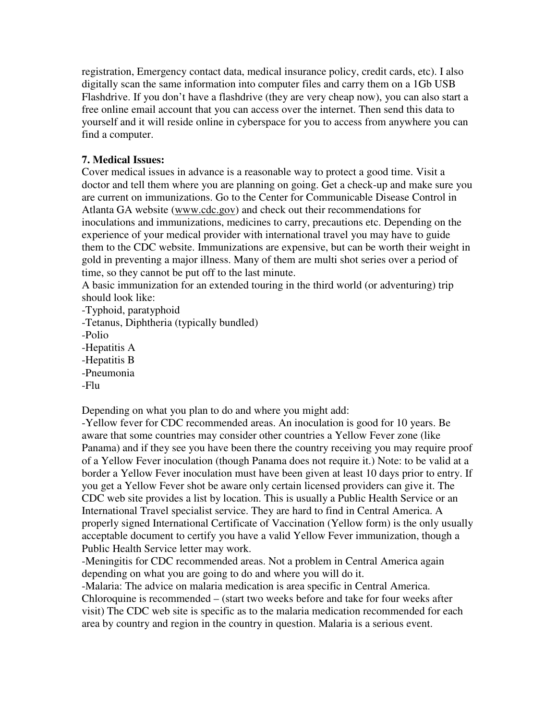registration, Emergency contact data, medical insurance policy, credit cards, etc). I also digitally scan the same information into computer files and carry them on a 1Gb USB Flashdrive. If you don't have a flashdrive (they are very cheap now), you can also start a free online email account that you can access over the internet. Then send this data to yourself and it will reside online in cyberspace for you to access from anywhere you can find a computer.

## **7. Medical Issues:**

Cover medical issues in advance is a reasonable way to protect a good time. Visit a doctor and tell them where you are planning on going. Get a check-up and make sure you are current on immunizations. Go to the Center for Communicable Disease Control in Atlanta GA website (www.cdc.gov) and check out their recommendations for inoculations and immunizations, medicines to carry, precautions etc. Depending on the experience of your medical provider with international travel you may have to guide them to the CDC website. Immunizations are expensive, but can be worth their weight in gold in preventing a major illness. Many of them are multi shot series over a period of time, so they cannot be put off to the last minute.

A basic immunization for an extended touring in the third world (or adventuring) trip should look like:

-Typhoid, paratyphoid

-Tetanus, Diphtheria (typically bundled)

-Polio

-Hepatitis A

-Hepatitis B

-Pneumonia

-Flu

Depending on what you plan to do and where you might add:

-Yellow fever for CDC recommended areas. An inoculation is good for 10 years. Be aware that some countries may consider other countries a Yellow Fever zone (like Panama) and if they see you have been there the country receiving you may require proof of a Yellow Fever inoculation (though Panama does not require it.) Note: to be valid at a border a Yellow Fever inoculation must have been given at least 10 days prior to entry. If you get a Yellow Fever shot be aware only certain licensed providers can give it. The CDC web site provides a list by location. This is usually a Public Health Service or an International Travel specialist service. They are hard to find in Central America. A properly signed International Certificate of Vaccination (Yellow form) is the only usually acceptable document to certify you have a valid Yellow Fever immunization, though a Public Health Service letter may work.

-Meningitis for CDC recommended areas. Not a problem in Central America again depending on what you are going to do and where you will do it.

-Malaria: The advice on malaria medication is area specific in Central America. Chloroquine is recommended – (start two weeks before and take for four weeks after visit) The CDC web site is specific as to the malaria medication recommended for each area by country and region in the country in question. Malaria is a serious event.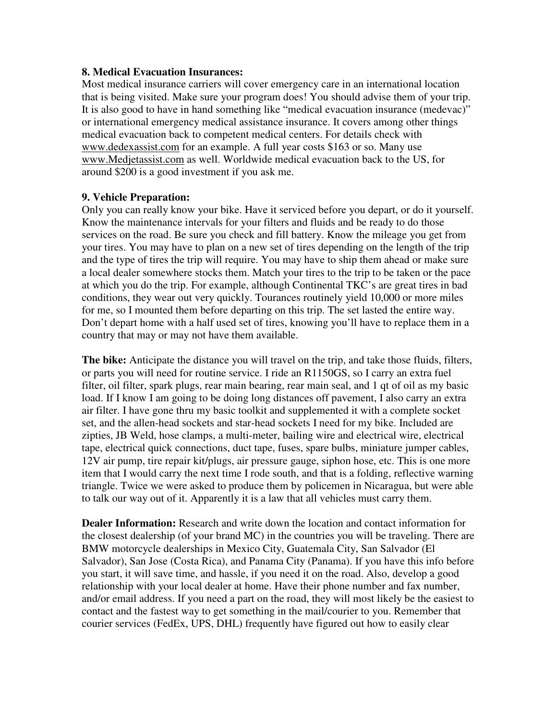#### **8. Medical Evacuation Insurances:**

Most medical insurance carriers will cover emergency care in an international location that is being visited. Make sure your program does! You should advise them of your trip. It is also good to have in hand something like "medical evacuation insurance (medevac)" or international emergency medical assistance insurance. It covers among other things medical evacuation back to competent medical centers. For details check with www.dedexassist.com for an example. A full year costs \$163 or so. Many use www.Medjetassist.com as well. Worldwide medical evacuation back to the US, for around \$200 is a good investment if you ask me.

#### **9. Vehicle Preparation:**

Only you can really know your bike. Have it serviced before you depart, or do it yourself. Know the maintenance intervals for your filters and fluids and be ready to do those services on the road. Be sure you check and fill battery. Know the mileage you get from your tires. You may have to plan on a new set of tires depending on the length of the trip and the type of tires the trip will require. You may have to ship them ahead or make sure a local dealer somewhere stocks them. Match your tires to the trip to be taken or the pace at which you do the trip. For example, although Continental TKC's are great tires in bad conditions, they wear out very quickly. Tourances routinely yield 10,000 or more miles for me, so I mounted them before departing on this trip. The set lasted the entire way. Don't depart home with a half used set of tires, knowing you'll have to replace them in a country that may or may not have them available.

**The bike:** Anticipate the distance you will travel on the trip, and take those fluids, filters, or parts you will need for routine service. I ride an R1150GS, so I carry an extra fuel filter, oil filter, spark plugs, rear main bearing, rear main seal, and 1 qt of oil as my basic load. If I know I am going to be doing long distances off pavement, I also carry an extra air filter. I have gone thru my basic toolkit and supplemented it with a complete socket set, and the allen-head sockets and star-head sockets I need for my bike. Included are zipties, JB Weld, hose clamps, a multi-meter, bailing wire and electrical wire, electrical tape, electrical quick connections, duct tape, fuses, spare bulbs, miniature jumper cables, 12V air pump, tire repair kit/plugs, air pressure gauge, siphon hose, etc. This is one more item that I would carry the next time I rode south, and that is a folding, reflective warning triangle. Twice we were asked to produce them by policemen in Nicaragua, but were able to talk our way out of it. Apparently it is a law that all vehicles must carry them.

**Dealer Information:** Research and write down the location and contact information for the closest dealership (of your brand MC) in the countries you will be traveling. There are BMW motorcycle dealerships in Mexico City, Guatemala City, San Salvador (El Salvador), San Jose (Costa Rica), and Panama City (Panama). If you have this info before you start, it will save time, and hassle, if you need it on the road. Also, develop a good relationship with your local dealer at home. Have their phone number and fax number, and/or email address. If you need a part on the road, they will most likely be the easiest to contact and the fastest way to get something in the mail/courier to you. Remember that courier services (FedEx, UPS, DHL) frequently have figured out how to easily clear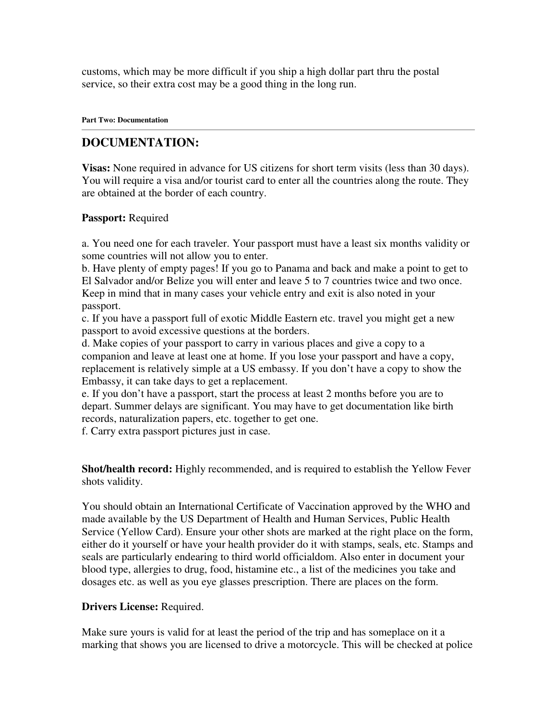customs, which may be more difficult if you ship a high dollar part thru the postal service, so their extra cost may be a good thing in the long run.

**Part Two: Documentation**

## **DOCUMENTATION:**

**Visas:** None required in advance for US citizens for short term visits (less than 30 days). You will require a visa and/or tourist card to enter all the countries along the route. They are obtained at the border of each country.

## **Passport:** Required

a. You need one for each traveler. Your passport must have a least six months validity or some countries will not allow you to enter.

b. Have plenty of empty pages! If you go to Panama and back and make a point to get to El Salvador and/or Belize you will enter and leave 5 to 7 countries twice and two once. Keep in mind that in many cases your vehicle entry and exit is also noted in your passport.

c. If you have a passport full of exotic Middle Eastern etc. travel you might get a new passport to avoid excessive questions at the borders.

d. Make copies of your passport to carry in various places and give a copy to a companion and leave at least one at home. If you lose your passport and have a copy, replacement is relatively simple at a US embassy. If you don't have a copy to show the Embassy, it can take days to get a replacement.

e. If you don't have a passport, start the process at least 2 months before you are to depart. Summer delays are significant. You may have to get documentation like birth records, naturalization papers, etc. together to get one.

f. Carry extra passport pictures just in case.

**Shot/health record:** Highly recommended, and is required to establish the Yellow Fever shots validity.

You should obtain an International Certificate of Vaccination approved by the WHO and made available by the US Department of Health and Human Services, Public Health Service (Yellow Card). Ensure your other shots are marked at the right place on the form, either do it yourself or have your health provider do it with stamps, seals, etc. Stamps and seals are particularly endearing to third world officialdom. Also enter in document your blood type, allergies to drug, food, histamine etc., a list of the medicines you take and dosages etc. as well as you eye glasses prescription. There are places on the form.

## **Drivers License:** Required.

Make sure yours is valid for at least the period of the trip and has someplace on it a marking that shows you are licensed to drive a motorcycle. This will be checked at police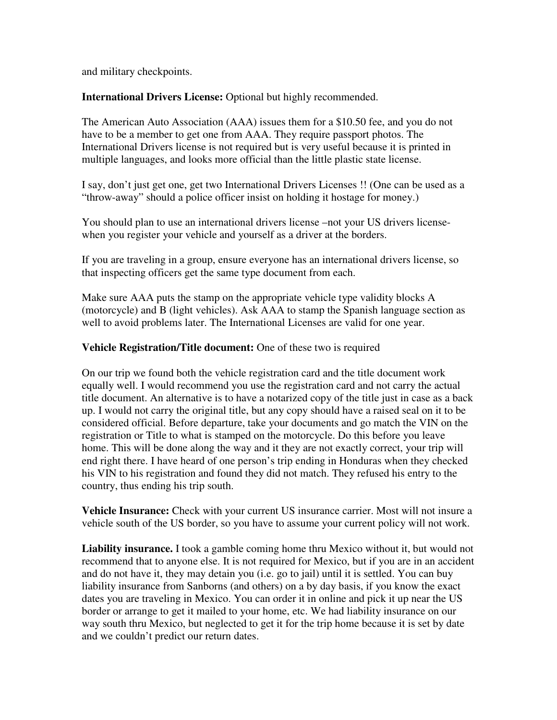and military checkpoints.

**International Drivers License:** Optional but highly recommended.

The American Auto Association (AAA) issues them for a \$10.50 fee, and you do not have to be a member to get one from AAA. They require passport photos. The International Drivers license is not required but is very useful because it is printed in multiple languages, and looks more official than the little plastic state license.

I say, don't just get one, get two International Drivers Licenses !! (One can be used as a "throw-away" should a police officer insist on holding it hostage for money.)

You should plan to use an international drivers license –not your US drivers licensewhen you register your vehicle and yourself as a driver at the borders.

If you are traveling in a group, ensure everyone has an international drivers license, so that inspecting officers get the same type document from each.

Make sure AAA puts the stamp on the appropriate vehicle type validity blocks A (motorcycle) and B (light vehicles). Ask AAA to stamp the Spanish language section as well to avoid problems later. The International Licenses are valid for one year.

## **Vehicle Registration/Title document:** One of these two is required

On our trip we found both the vehicle registration card and the title document work equally well. I would recommend you use the registration card and not carry the actual title document. An alternative is to have a notarized copy of the title just in case as a back up. I would not carry the original title, but any copy should have a raised seal on it to be considered official. Before departure, take your documents and go match the VIN on the registration or Title to what is stamped on the motorcycle. Do this before you leave home. This will be done along the way and it they are not exactly correct, your trip will end right there. I have heard of one person's trip ending in Honduras when they checked his VIN to his registration and found they did not match. They refused his entry to the country, thus ending his trip south.

**Vehicle Insurance:** Check with your current US insurance carrier. Most will not insure a vehicle south of the US border, so you have to assume your current policy will not work.

**Liability insurance.** I took a gamble coming home thru Mexico without it, but would not recommend that to anyone else. It is not required for Mexico, but if you are in an accident and do not have it, they may detain you (i.e. go to jail) until it is settled. You can buy liability insurance from Sanborns (and others) on a by day basis, if you know the exact dates you are traveling in Mexico. You can order it in online and pick it up near the US border or arrange to get it mailed to your home, etc. We had liability insurance on our way south thru Mexico, but neglected to get it for the trip home because it is set by date and we couldn't predict our return dates.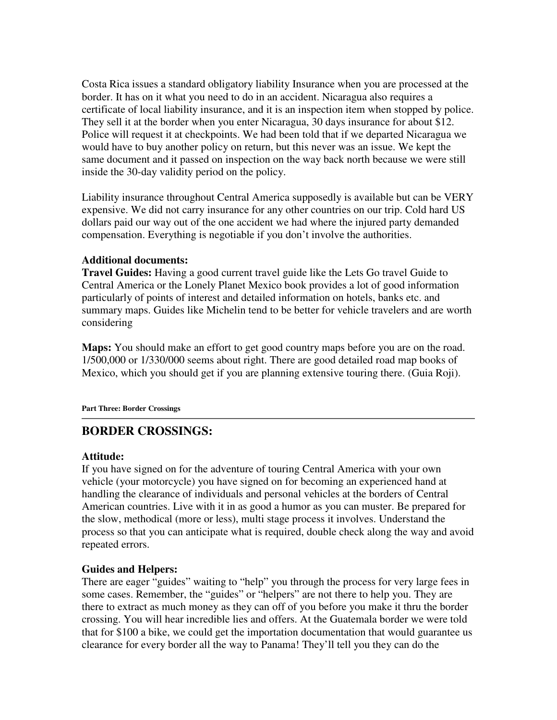Costa Rica issues a standard obligatory liability Insurance when you are processed at the border. It has on it what you need to do in an accident. Nicaragua also requires a certificate of local liability insurance, and it is an inspection item when stopped by police. They sell it at the border when you enter Nicaragua, 30 days insurance for about \$12. Police will request it at checkpoints. We had been told that if we departed Nicaragua we would have to buy another policy on return, but this never was an issue. We kept the same document and it passed on inspection on the way back north because we were still inside the 30-day validity period on the policy.

Liability insurance throughout Central America supposedly is available but can be VERY expensive. We did not carry insurance for any other countries on our trip. Cold hard US dollars paid our way out of the one accident we had where the injured party demanded compensation. Everything is negotiable if you don't involve the authorities.

#### **Additional documents:**

**Travel Guides:** Having a good current travel guide like the Lets Go travel Guide to Central America or the Lonely Planet Mexico book provides a lot of good information particularly of points of interest and detailed information on hotels, banks etc. and summary maps. Guides like Michelin tend to be better for vehicle travelers and are worth considering

**Maps:** You should make an effort to get good country maps before you are on the road. 1/500,000 or 1/330/000 seems about right. There are good detailed road map books of Mexico, which you should get if you are planning extensive touring there. (Guia Roji).

**Part Three: Border Crossings**

## **BORDER CROSSINGS:**

#### **Attitude:**

If you have signed on for the adventure of touring Central America with your own vehicle (your motorcycle) you have signed on for becoming an experienced hand at handling the clearance of individuals and personal vehicles at the borders of Central American countries. Live with it in as good a humor as you can muster. Be prepared for the slow, methodical (more or less), multi stage process it involves. Understand the process so that you can anticipate what is required, double check along the way and avoid repeated errors.

## **Guides and Helpers:**

There are eager "guides" waiting to "help" you through the process for very large fees in some cases. Remember, the "guides" or "helpers" are not there to help you. They are there to extract as much money as they can off of you before you make it thru the border crossing. You will hear incredible lies and offers. At the Guatemala border we were told that for \$100 a bike, we could get the importation documentation that would guarantee us clearance for every border all the way to Panama! They'll tell you they can do the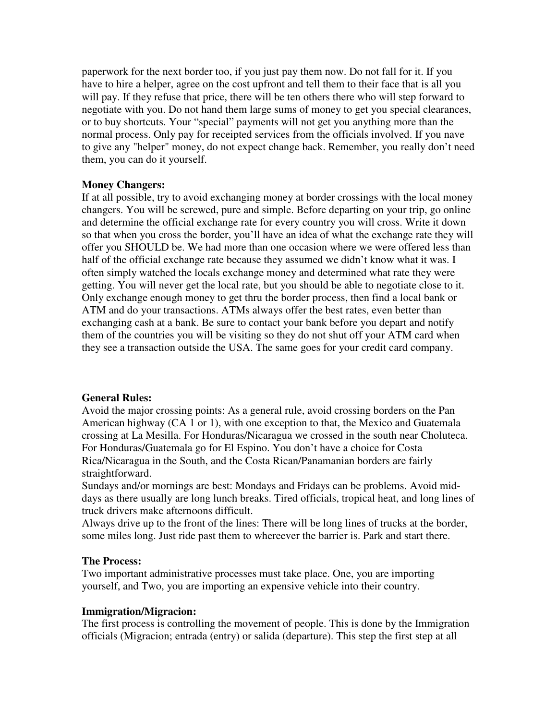paperwork for the next border too, if you just pay them now. Do not fall for it. If you have to hire a helper, agree on the cost upfront and tell them to their face that is all you will pay. If they refuse that price, there will be ten others there who will step forward to negotiate with you. Do not hand them large sums of money to get you special clearances, or to buy shortcuts. Your "special" payments will not get you anything more than the normal process. Only pay for receipted services from the officials involved. If you nave to give any "helper" money, do not expect change back. Remember, you really don't need them, you can do it yourself.

### **Money Changers:**

If at all possible, try to avoid exchanging money at border crossings with the local money changers. You will be screwed, pure and simple. Before departing on your trip, go online and determine the official exchange rate for every country you will cross. Write it down so that when you cross the border, you'll have an idea of what the exchange rate they will offer you SHOULD be. We had more than one occasion where we were offered less than half of the official exchange rate because they assumed we didn't know what it was. I often simply watched the locals exchange money and determined what rate they were getting. You will never get the local rate, but you should be able to negotiate close to it. Only exchange enough money to get thru the border process, then find a local bank or ATM and do your transactions. ATMs always offer the best rates, even better than exchanging cash at a bank. Be sure to contact your bank before you depart and notify them of the countries you will be visiting so they do not shut off your ATM card when they see a transaction outside the USA. The same goes for your credit card company.

#### **General Rules:**

Avoid the major crossing points: As a general rule, avoid crossing borders on the Pan American highway (CA 1 or 1), with one exception to that, the Mexico and Guatemala crossing at La Mesilla. For Honduras/Nicaragua we crossed in the south near Choluteca. For Honduras/Guatemala go for El Espino. You don't have a choice for Costa Rica/Nicaragua in the South, and the Costa Rican/Panamanian borders are fairly straightforward.

Sundays and/or mornings are best: Mondays and Fridays can be problems. Avoid middays as there usually are long lunch breaks. Tired officials, tropical heat, and long lines of truck drivers make afternoons difficult.

Always drive up to the front of the lines: There will be long lines of trucks at the border, some miles long. Just ride past them to whereever the barrier is. Park and start there.

#### **The Process:**

Two important administrative processes must take place. One, you are importing yourself, and Two, you are importing an expensive vehicle into their country.

### **Immigration/Migracion:**

The first process is controlling the movement of people. This is done by the Immigration officials (Migracion; entrada (entry) or salida (departure). This step the first step at all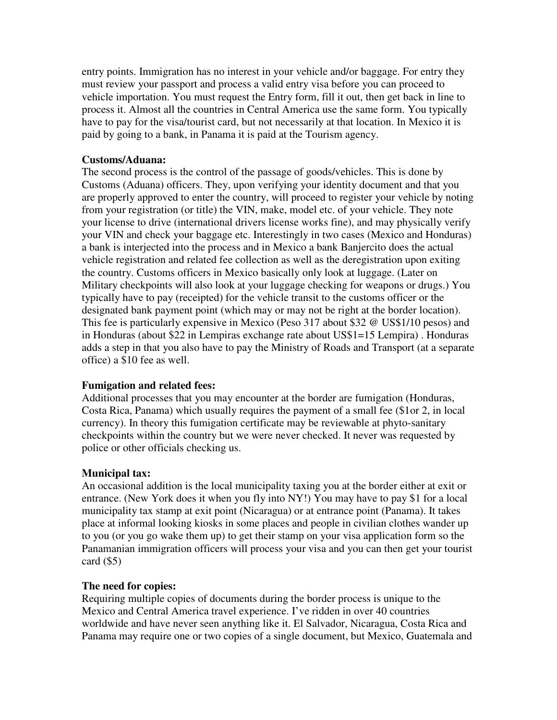entry points. Immigration has no interest in your vehicle and/or baggage. For entry they must review your passport and process a valid entry visa before you can proceed to vehicle importation. You must request the Entry form, fill it out, then get back in line to process it. Almost all the countries in Central America use the same form. You typically have to pay for the visa/tourist card, but not necessarily at that location. In Mexico it is paid by going to a bank, in Panama it is paid at the Tourism agency.

#### **Customs/Aduana:**

The second process is the control of the passage of goods/vehicles. This is done by Customs (Aduana) officers. They, upon verifying your identity document and that you are properly approved to enter the country, will proceed to register your vehicle by noting from your registration (or title) the VIN, make, model etc. of your vehicle. They note your license to drive (international drivers license works fine), and may physically verify your VIN and check your baggage etc. Interestingly in two cases (Mexico and Honduras) a bank is interjected into the process and in Mexico a bank Banjercito does the actual vehicle registration and related fee collection as well as the deregistration upon exiting the country. Customs officers in Mexico basically only look at luggage. (Later on Military checkpoints will also look at your luggage checking for weapons or drugs.) You typically have to pay (receipted) for the vehicle transit to the customs officer or the designated bank payment point (which may or may not be right at the border location). This fee is particularly expensive in Mexico (Peso 317 about \$32 @ US\$1/10 pesos) and in Honduras (about \$22 in Lempiras exchange rate about US\$1=15 Lempira) . Honduras adds a step in that you also have to pay the Ministry of Roads and Transport (at a separate office) a \$10 fee as well.

#### **Fumigation and related fees:**

Additional processes that you may encounter at the border are fumigation (Honduras, Costa Rica, Panama) which usually requires the payment of a small fee (\$1or 2, in local currency). In theory this fumigation certificate may be reviewable at phyto-sanitary checkpoints within the country but we were never checked. It never was requested by police or other officials checking us.

#### **Municipal tax:**

An occasional addition is the local municipality taxing you at the border either at exit or entrance. (New York does it when you fly into NY!) You may have to pay \$1 for a local municipality tax stamp at exit point (Nicaragua) or at entrance point (Panama). It takes place at informal looking kiosks in some places and people in civilian clothes wander up to you (or you go wake them up) to get their stamp on your visa application form so the Panamanian immigration officers will process your visa and you can then get your tourist card (\$5)

#### **The need for copies:**

Requiring multiple copies of documents during the border process is unique to the Mexico and Central America travel experience. I've ridden in over 40 countries worldwide and have never seen anything like it. El Salvador, Nicaragua, Costa Rica and Panama may require one or two copies of a single document, but Mexico, Guatemala and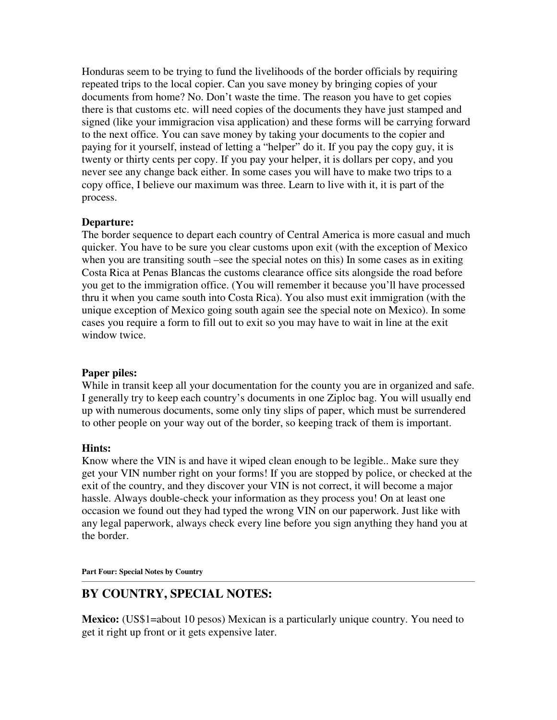Honduras seem to be trying to fund the livelihoods of the border officials by requiring repeated trips to the local copier. Can you save money by bringing copies of your documents from home? No. Don't waste the time. The reason you have to get copies there is that customs etc. will need copies of the documents they have just stamped and signed (like your immigracion visa application) and these forms will be carrying forward to the next office. You can save money by taking your documents to the copier and paying for it yourself, instead of letting a "helper" do it. If you pay the copy guy, it is twenty or thirty cents per copy. If you pay your helper, it is dollars per copy, and you never see any change back either. In some cases you will have to make two trips to a copy office, I believe our maximum was three. Learn to live with it, it is part of the process.

### **Departure:**

The border sequence to depart each country of Central America is more casual and much quicker. You have to be sure you clear customs upon exit (with the exception of Mexico when you are transiting south –see the special notes on this) In some cases as in exiting Costa Rica at Penas Blancas the customs clearance office sits alongside the road before you get to the immigration office. (You will remember it because you'll have processed thru it when you came south into Costa Rica). You also must exit immigration (with the unique exception of Mexico going south again see the special note on Mexico). In some cases you require a form to fill out to exit so you may have to wait in line at the exit window twice.

#### **Paper piles:**

While in transit keep all your documentation for the county you are in organized and safe. I generally try to keep each country's documents in one Ziploc bag. You will usually end up with numerous documents, some only tiny slips of paper, which must be surrendered to other people on your way out of the border, so keeping track of them is important.

#### **Hints:**

Know where the VIN is and have it wiped clean enough to be legible.. Make sure they get your VIN number right on your forms! If you are stopped by police, or checked at the exit of the country, and they discover your VIN is not correct, it will become a major hassle. Always double-check your information as they process you! On at least one occasion we found out they had typed the wrong VIN on our paperwork. Just like with any legal paperwork, always check every line before you sign anything they hand you at the border.

**Part Four: Special Notes by Country**

# **BY COUNTRY, SPECIAL NOTES:**

**Mexico:** (US\$1=about 10 pesos) Mexican is a particularly unique country. You need to get it right up front or it gets expensive later.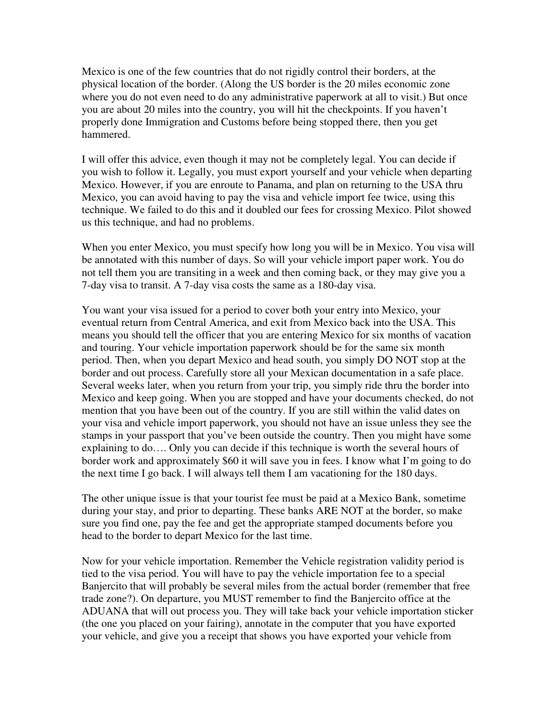Mexico is one of the few countries that do not rigidly control their borders, at the physical location of the border. (Along the US border is the 20 miles economic zone where you do not even need to do any administrative paperwork at all to visit.) But once you are about 20 miles into the country, you will hit the checkpoints. If you haven't properly done Immigration and Customs before being stopped there, then you get hammered.

I will offer this advice, even though it may not be completely legal. You can decide if you wish to follow it. Legally, you must export yourself and your vehicle when departing Mexico. However, if you are enroute to Panama, and plan on returning to the USA thru Mexico, you can avoid having to pay the visa and vehicle import fee twice, using this technique. We failed to do this and it doubled our fees for crossing Mexico. Pilot showed us this technique, and had no problems.

When you enter Mexico, you must specify how long you will be in Mexico. You visa will be annotated with this number of days. So will your vehicle import paper work. You do not tell them you are transiting in a week and then coming back, or they may give you a 7-day visa to transit. A 7-day visa costs the same as a 180-day visa.

You want your visa issued for a period to cover both your entry into Mexico, your eventual return from Central America, and exit from Mexico back into the USA. This means you should tell the officer that you are entering Mexico for six months of vacation and touring. Your vehicle importation paperwork should be for the same six month period. Then, when you depart Mexico and head south, you simply DO NOT stop at the border and out process. Carefully store all your Mexican documentation in a safe place. Several weeks later, when you return from your trip, you simply ride thru the border into Mexico and keep going. When you are stopped and have your documents checked, do not mention that you have been out of the country. If you are still within the valid dates on your visa and vehicle import paperwork, you should not have an issue unless they see the stamps in your passport that you've been outside the country. Then you might have some explaining to do…. Only you can decide if this technique is worth the several hours of border work and approximately \$60 it will save you in fees. I know what I'm going to do the next time I go back. I will always tell them I am vacationing for the 180 days.

The other unique issue is that your tourist fee must be paid at a Mexico Bank, sometime during your stay, and prior to departing. These banks ARE NOT at the border, so make sure you find one, pay the fee and get the appropriate stamped documents before you head to the border to depart Mexico for the last time.

Now for your vehicle importation. Remember the Vehicle registration validity period is tied to the visa period. You will have to pay the vehicle importation fee to a special Banjercito that will probably be several miles from the actual border (remember that free trade zone?). On departure, you MUST remember to find the Banjercito office at the ADUANA that will out process you. They will take back your vehicle importation sticker (the one you placed on your fairing), annotate in the computer that you have exported your vehicle, and give you a receipt that shows you have exported your vehicle from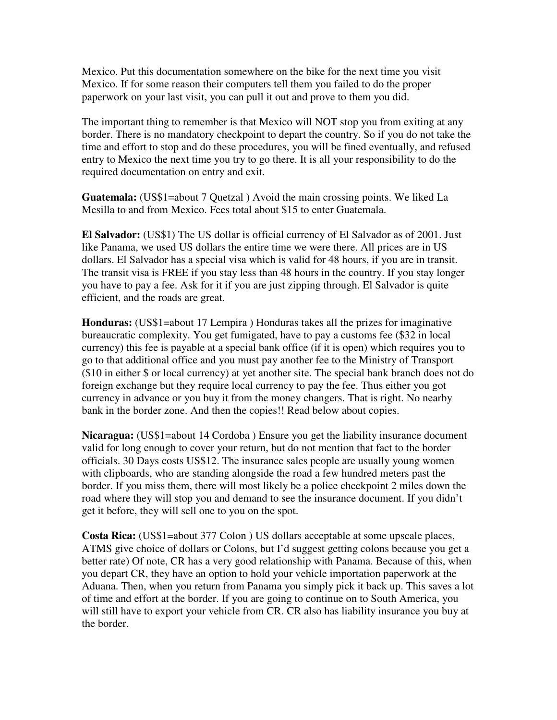Mexico. Put this documentation somewhere on the bike for the next time you visit Mexico. If for some reason their computers tell them you failed to do the proper paperwork on your last visit, you can pull it out and prove to them you did.

The important thing to remember is that Mexico will NOT stop you from exiting at any border. There is no mandatory checkpoint to depart the country. So if you do not take the time and effort to stop and do these procedures, you will be fined eventually, and refused entry to Mexico the next time you try to go there. It is all your responsibility to do the required documentation on entry and exit.

**Guatemala:** (US\$1=about 7 Quetzal ) Avoid the main crossing points. We liked La Mesilla to and from Mexico. Fees total about \$15 to enter Guatemala.

**El Salvador:** (US\$1) The US dollar is official currency of El Salvador as of 2001. Just like Panama, we used US dollars the entire time we were there. All prices are in US dollars. El Salvador has a special visa which is valid for 48 hours, if you are in transit. The transit visa is FREE if you stay less than 48 hours in the country. If you stay longer you have to pay a fee. Ask for it if you are just zipping through. El Salvador is quite efficient, and the roads are great.

**Honduras:** (US\$1=about 17 Lempira ) Honduras takes all the prizes for imaginative bureaucratic complexity. You get fumigated, have to pay a customs fee (\$32 in local currency) this fee is payable at a special bank office (if it is open) which requires you to go to that additional office and you must pay another fee to the Ministry of Transport (\$10 in either \$ or local currency) at yet another site. The special bank branch does not do foreign exchange but they require local currency to pay the fee. Thus either you got currency in advance or you buy it from the money changers. That is right. No nearby bank in the border zone. And then the copies!! Read below about copies.

**Nicaragua:** (US\$1=about 14 Cordoba) Ensure you get the liability insurance document valid for long enough to cover your return, but do not mention that fact to the border officials. 30 Days costs US\$12. The insurance sales people are usually young women with clipboards, who are standing alongside the road a few hundred meters past the border. If you miss them, there will most likely be a police checkpoint 2 miles down the road where they will stop you and demand to see the insurance document. If you didn't get it before, they will sell one to you on the spot.

**Costa Rica:** (US\$1=about 377 Colon ) US dollars acceptable at some upscale places, ATMS give choice of dollars or Colons, but I'd suggest getting colons because you get a better rate) Of note, CR has a very good relationship with Panama. Because of this, when you depart CR, they have an option to hold your vehicle importation paperwork at the Aduana. Then, when you return from Panama you simply pick it back up. This saves a lot of time and effort at the border. If you are going to continue on to South America, you will still have to export your vehicle from CR. CR also has liability insurance you buy at the border.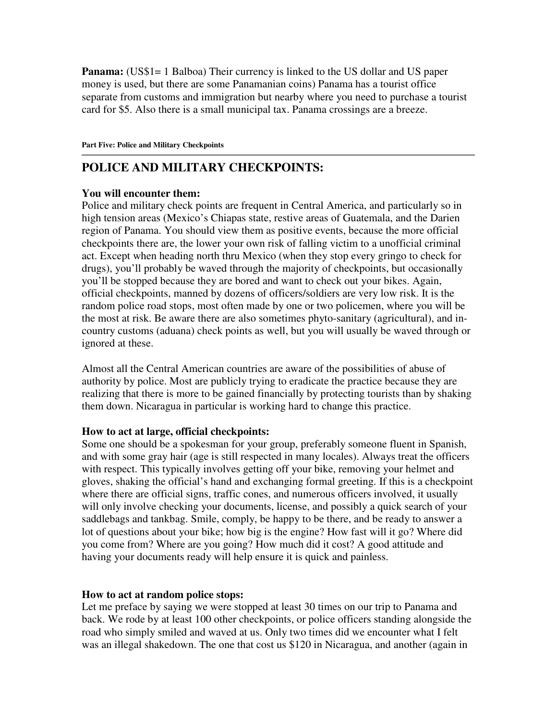**Panama:** (US\$1= 1 Balboa) Their currency is linked to the US dollar and US paper money is used, but there are some Panamanian coins) Panama has a tourist office separate from customs and immigration but nearby where you need to purchase a tourist card for \$5. Also there is a small municipal tax. Panama crossings are a breeze.

**Part Five: Police and Military Checkpoints**

## **POLICE AND MILITARY CHECKPOINTS:**

#### **You will encounter them:**

Police and military check points are frequent in Central America, and particularly so in high tension areas (Mexico's Chiapas state, restive areas of Guatemala, and the Darien region of Panama. You should view them as positive events, because the more official checkpoints there are, the lower your own risk of falling victim to a unofficial criminal act. Except when heading north thru Mexico (when they stop every gringo to check for drugs), you'll probably be waved through the majority of checkpoints, but occasionally you'll be stopped because they are bored and want to check out your bikes. Again, official checkpoints, manned by dozens of officers/soldiers are very low risk. It is the random police road stops, most often made by one or two policemen, where you will be the most at risk. Be aware there are also sometimes phyto-sanitary (agricultural), and incountry customs (aduana) check points as well, but you will usually be waved through or ignored at these.

Almost all the Central American countries are aware of the possibilities of abuse of authority by police. Most are publicly trying to eradicate the practice because they are realizing that there is more to be gained financially by protecting tourists than by shaking them down. Nicaragua in particular is working hard to change this practice.

## **How to act at large, official checkpoints:**

Some one should be a spokesman for your group, preferably someone fluent in Spanish, and with some gray hair (age is still respected in many locales). Always treat the officers with respect. This typically involves getting off your bike, removing your helmet and gloves, shaking the official's hand and exchanging formal greeting. If this is a checkpoint where there are official signs, traffic cones, and numerous officers involved, it usually will only involve checking your documents, license, and possibly a quick search of your saddlebags and tankbag. Smile, comply, be happy to be there, and be ready to answer a lot of questions about your bike; how big is the engine? How fast will it go? Where did you come from? Where are you going? How much did it cost? A good attitude and having your documents ready will help ensure it is quick and painless.

#### **How to act at random police stops:**

Let me preface by saying we were stopped at least 30 times on our trip to Panama and back. We rode by at least 100 other checkpoints, or police officers standing alongside the road who simply smiled and waved at us. Only two times did we encounter what I felt was an illegal shakedown. The one that cost us \$120 in Nicaragua, and another (again in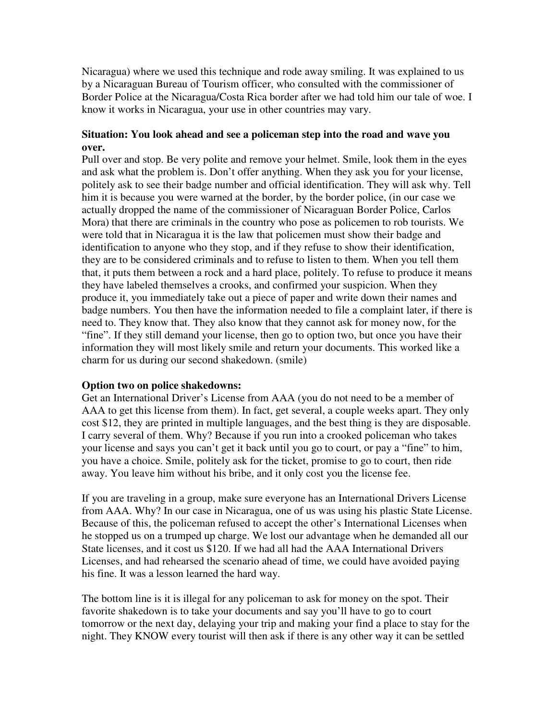Nicaragua) where we used this technique and rode away smiling. It was explained to us by a Nicaraguan Bureau of Tourism officer, who consulted with the commissioner of Border Police at the Nicaragua/Costa Rica border after we had told him our tale of woe. I know it works in Nicaragua, your use in other countries may vary.

## **Situation: You look ahead and see a policeman step into the road and wave you over.**

Pull over and stop. Be very polite and remove your helmet. Smile, look them in the eyes and ask what the problem is. Don't offer anything. When they ask you for your license, politely ask to see their badge number and official identification. They will ask why. Tell him it is because you were warned at the border, by the border police, (in our case we actually dropped the name of the commissioner of Nicaraguan Border Police, Carlos Mora) that there are criminals in the country who pose as policemen to rob tourists. We were told that in Nicaragua it is the law that policemen must show their badge and identification to anyone who they stop, and if they refuse to show their identification, they are to be considered criminals and to refuse to listen to them. When you tell them that, it puts them between a rock and a hard place, politely. To refuse to produce it means they have labeled themselves a crooks, and confirmed your suspicion. When they produce it, you immediately take out a piece of paper and write down their names and badge numbers. You then have the information needed to file a complaint later, if there is need to. They know that. They also know that they cannot ask for money now, for the "fine". If they still demand your license, then go to option two, but once you have their information they will most likely smile and return your documents. This worked like a charm for us during our second shakedown. (smile)

#### **Option two on police shakedowns:**

Get an International Driver's License from AAA (you do not need to be a member of AAA to get this license from them). In fact, get several, a couple weeks apart. They only cost \$12, they are printed in multiple languages, and the best thing is they are disposable. I carry several of them. Why? Because if you run into a crooked policeman who takes your license and says you can't get it back until you go to court, or pay a "fine" to him, you have a choice. Smile, politely ask for the ticket, promise to go to court, then ride away. You leave him without his bribe, and it only cost you the license fee.

If you are traveling in a group, make sure everyone has an International Drivers License from AAA. Why? In our case in Nicaragua, one of us was using his plastic State License. Because of this, the policeman refused to accept the other's International Licenses when he stopped us on a trumped up charge. We lost our advantage when he demanded all our State licenses, and it cost us \$120. If we had all had the AAA International Drivers Licenses, and had rehearsed the scenario ahead of time, we could have avoided paying his fine. It was a lesson learned the hard way.

The bottom line is it is illegal for any policeman to ask for money on the spot. Their favorite shakedown is to take your documents and say you'll have to go to court tomorrow or the next day, delaying your trip and making your find a place to stay for the night. They KNOW every tourist will then ask if there is any other way it can be settled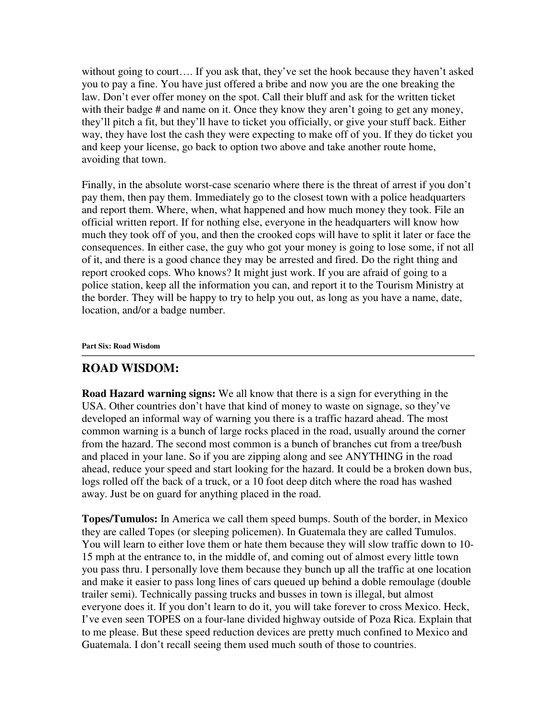without going to court…. If you ask that, they've set the hook because they haven't asked you to pay a fine. You have just offered a bribe and now you are the one breaking the law. Don't ever offer money on the spot. Call their bluff and ask for the written ticket with their badge # and name on it. Once they know they aren't going to get any money, they'll pitch a fit, but they'll have to ticket you officially, or give your stuff back. Either way, they have lost the cash they were expecting to make off of you. If they do ticket you and keep your license, go back to option two above and take another route home, avoiding that town.

Finally, in the absolute worst-case scenario where there is the threat of arrest if you don't pay them, then pay them. Immediately go to the closest town with a police headquarters and report them. Where, when, what happened and how much money they took. File an official written report. If for nothing else, everyone in the headquarters will know how much they took off of you, and then the crooked cops will have to split it later or face the consequences. In either case, the guy who got your money is going to lose some, if not all of it, and there is a good chance they may be arrested and fired. Do the right thing and report crooked cops. Who knows? It might just work. If you are afraid of going to a police station, keep all the information you can, and report it to the Tourism Ministry at the border. They will be happy to try to help you out, as long as you have a name, date, location, and/or a badge number.

**Part Six: Road Wisdom**

# **ROAD WISDOM:**

**Road Hazard warning signs:** We all know that there is a sign for everything in the USA. Other countries don't have that kind of money to waste on signage, so they've developed an informal way of warning you there is a traffic hazard ahead. The most common warning is a bunch of large rocks placed in the road, usually around the corner from the hazard. The second most common is a bunch of branches cut from a tree/bush and placed in your lane. So if you are zipping along and see ANYTHING in the road ahead, reduce your speed and start looking for the hazard. It could be a broken down bus, logs rolled off the back of a truck, or a 10 foot deep ditch where the road has washed away. Just be on guard for anything placed in the road.

**Topes/Tumulos:** In America we call them speed bumps. South of the border, in Mexico they are called Topes (or sleeping policemen). In Guatemala they are called Tumulos. You will learn to either love them or hate them because they will slow traffic down to 10- 15 mph at the entrance to, in the middle of, and coming out of almost every little town you pass thru. I personally love them because they bunch up all the traffic at one location and make it easier to pass long lines of cars queued up behind a doble remoulage (double trailer semi). Technically passing trucks and busses in town is illegal, but almost everyone does it. If you don't learn to do it, you will take forever to cross Mexico. Heck, I've even seen TOPES on a four-lane divided highway outside of Poza Rica. Explain that to me please. But these speed reduction devices are pretty much confined to Mexico and Guatemala. I don't recall seeing them used much south of those to countries.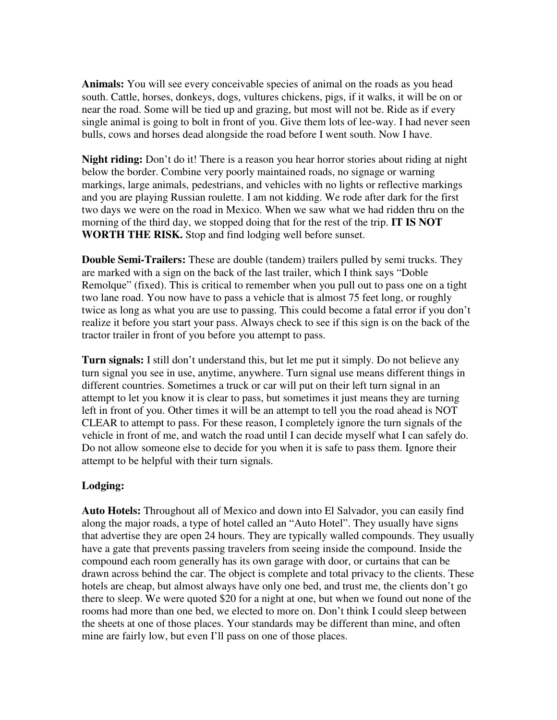**Animals:** You will see every conceivable species of animal on the roads as you head south. Cattle, horses, donkeys, dogs, vultures chickens, pigs, if it walks, it will be on or near the road. Some will be tied up and grazing, but most will not be. Ride as if every single animal is going to bolt in front of you. Give them lots of lee-way. I had never seen bulls, cows and horses dead alongside the road before I went south. Now I have.

**Night riding:** Don't do it! There is a reason you hear horror stories about riding at night below the border. Combine very poorly maintained roads, no signage or warning markings, large animals, pedestrians, and vehicles with no lights or reflective markings and you are playing Russian roulette. I am not kidding. We rode after dark for the first two days we were on the road in Mexico. When we saw what we had ridden thru on the morning of the third day, we stopped doing that for the rest of the trip. **IT IS NOT WORTH THE RISK.** Stop and find lodging well before sunset.

**Double Semi-Trailers:** These are double (tandem) trailers pulled by semi trucks. They are marked with a sign on the back of the last trailer, which I think says "Doble Remolque" (fixed). This is critical to remember when you pull out to pass one on a tight two lane road. You now have to pass a vehicle that is almost 75 feet long, or roughly twice as long as what you are use to passing. This could become a fatal error if you don't realize it before you start your pass. Always check to see if this sign is on the back of the tractor trailer in front of you before you attempt to pass.

**Turn signals:** I still don't understand this, but let me put it simply. Do not believe any turn signal you see in use, anytime, anywhere. Turn signal use means different things in different countries. Sometimes a truck or car will put on their left turn signal in an attempt to let you know it is clear to pass, but sometimes it just means they are turning left in front of you. Other times it will be an attempt to tell you the road ahead is NOT CLEAR to attempt to pass. For these reason, I completely ignore the turn signals of the vehicle in front of me, and watch the road until I can decide myself what I can safely do. Do not allow someone else to decide for you when it is safe to pass them. Ignore their attempt to be helpful with their turn signals.

#### **Lodging:**

**Auto Hotels:** Throughout all of Mexico and down into El Salvador, you can easily find along the major roads, a type of hotel called an "Auto Hotel". They usually have signs that advertise they are open 24 hours. They are typically walled compounds. They usually have a gate that prevents passing travelers from seeing inside the compound. Inside the compound each room generally has its own garage with door, or curtains that can be drawn across behind the car. The object is complete and total privacy to the clients. These hotels are cheap, but almost always have only one bed, and trust me, the clients don't go there to sleep. We were quoted \$20 for a night at one, but when we found out none of the rooms had more than one bed, we elected to more on. Don't think I could sleep between the sheets at one of those places. Your standards may be different than mine, and often mine are fairly low, but even I'll pass on one of those places.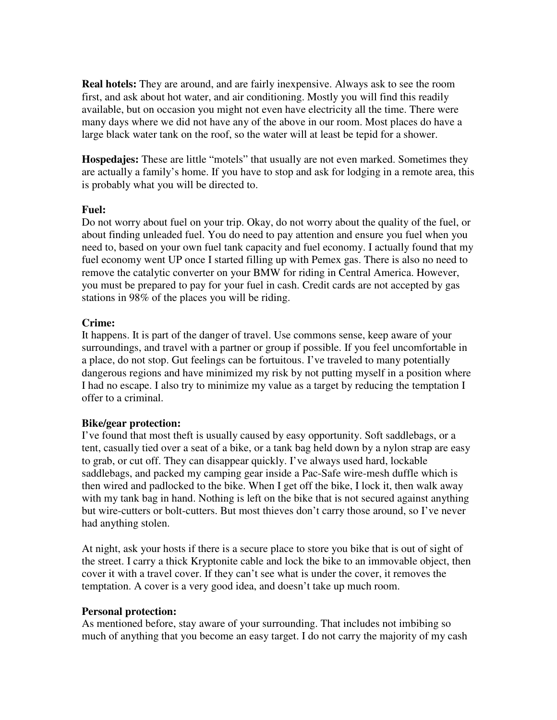**Real hotels:** They are around, and are fairly inexpensive. Always ask to see the room first, and ask about hot water, and air conditioning. Mostly you will find this readily available, but on occasion you might not even have electricity all the time. There were many days where we did not have any of the above in our room. Most places do have a large black water tank on the roof, so the water will at least be tepid for a shower.

**Hospedajes:** These are little "motels" that usually are not even marked. Sometimes they are actually a family's home. If you have to stop and ask for lodging in a remote area, this is probably what you will be directed to.

### **Fuel:**

Do not worry about fuel on your trip. Okay, do not worry about the quality of the fuel, or about finding unleaded fuel. You do need to pay attention and ensure you fuel when you need to, based on your own fuel tank capacity and fuel economy. I actually found that my fuel economy went UP once I started filling up with Pemex gas. There is also no need to remove the catalytic converter on your BMW for riding in Central America. However, you must be prepared to pay for your fuel in cash. Credit cards are not accepted by gas stations in 98% of the places you will be riding.

### **Crime:**

It happens. It is part of the danger of travel. Use commons sense, keep aware of your surroundings, and travel with a partner or group if possible. If you feel uncomfortable in a place, do not stop. Gut feelings can be fortuitous. I've traveled to many potentially dangerous regions and have minimized my risk by not putting myself in a position where I had no escape. I also try to minimize my value as a target by reducing the temptation I offer to a criminal.

## **Bike/gear protection:**

I've found that most theft is usually caused by easy opportunity. Soft saddlebags, or a tent, casually tied over a seat of a bike, or a tank bag held down by a nylon strap are easy to grab, or cut off. They can disappear quickly. I've always used hard, lockable saddlebags, and packed my camping gear inside a Pac-Safe wire-mesh duffle which is then wired and padlocked to the bike. When I get off the bike, I lock it, then walk away with my tank bag in hand. Nothing is left on the bike that is not secured against anything but wire-cutters or bolt-cutters. But most thieves don't carry those around, so I've never had anything stolen.

At night, ask your hosts if there is a secure place to store you bike that is out of sight of the street. I carry a thick Kryptonite cable and lock the bike to an immovable object, then cover it with a travel cover. If they can't see what is under the cover, it removes the temptation. A cover is a very good idea, and doesn't take up much room.

## **Personal protection:**

As mentioned before, stay aware of your surrounding. That includes not imbibing so much of anything that you become an easy target. I do not carry the majority of my cash